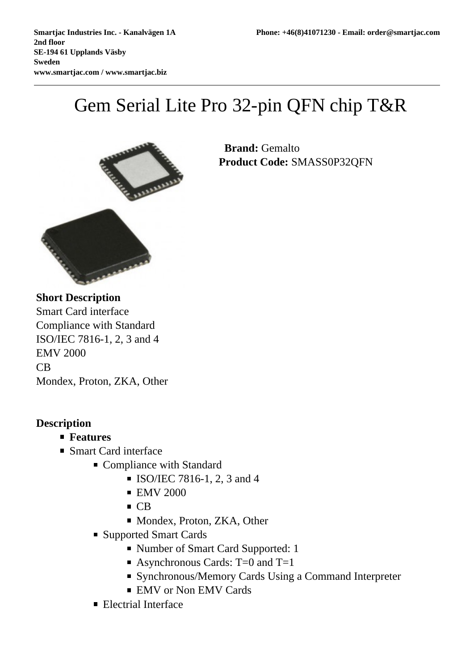## Gem Serial Lite Pro 32-pin QFN chip T&R



 **Brand:** Gemalto **Product Code:** SMASS0P32QFN

**Short Description** Smart Card interface Compliance with Standard ISO/IEC 7816-1, 2, 3 and 4 EMV 2000 CB Mondex, Proton, ZKA, Other

## **Description**

- **Features**
- Smart Card interface
	- Compliance with Standard
		- **ISO/IEC 7816-1, 2, 3 and 4**
		- **EMV 2000**
		- CB
		- Mondex, Proton, ZKA, Other
	- Supported Smart Cards
		- Number of Smart Card Supported: 1
		- Asynchronous Cards:  $T=0$  and  $T=1$
		- Synchronous/Memory Cards Using a Command Interpreter
		- **EMV** or Non EMV Cards
	- **Electrial Interface**